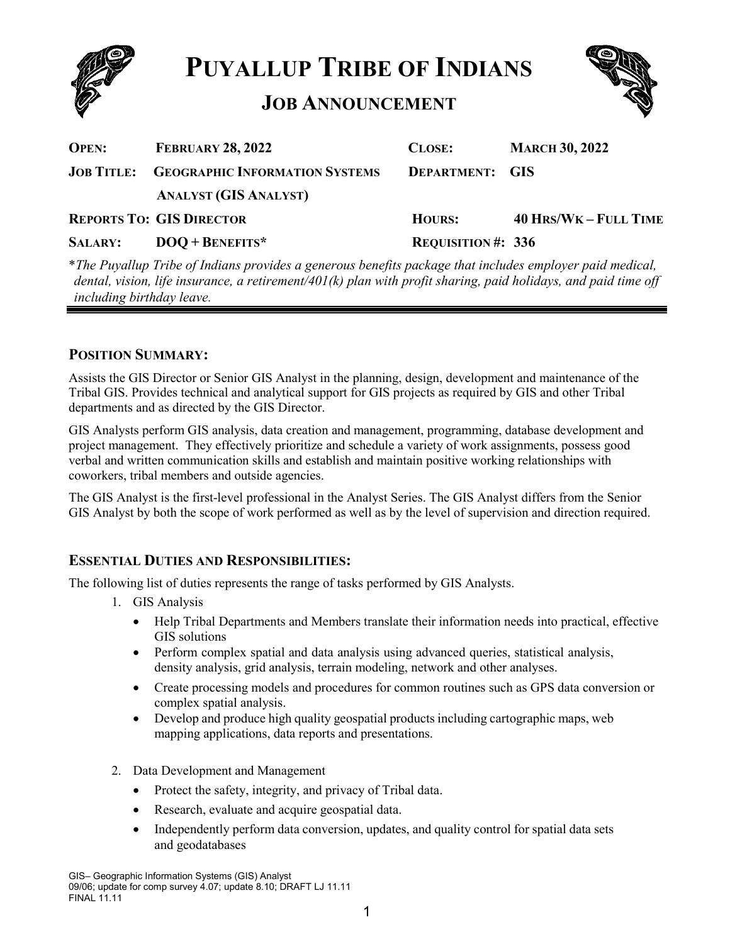

**PUYALLUP TRIBE OF INDIANS**

# **JOB ANNOUNCEMENT**



| <b>OPEN:</b>   | <b>FEBRUARY 28, 2022</b>                         | <b>CLOSE:</b>             | <b>MARCH 30, 2022</b>        |
|----------------|--------------------------------------------------|---------------------------|------------------------------|
|                | <b>JOB TITLE: GEOGRAPHIC INFORMATION SYSTEMS</b> | <b>DEPARTMENT: GIS</b>    |                              |
|                | <b>ANALYST (GIS ANALYST)</b>                     |                           |                              |
|                | <b>REPORTS TO: GIS DIRECTOR</b>                  | <b>HOURS:</b>             | <b>40 HRS/WK - FULL TIME</b> |
| <b>SALARY:</b> | $DOO + BENERITS*$                                | <b>REQUISITION #: 336</b> |                              |
|                |                                                  |                           |                              |

\**The Puyallup Tribe of Indians provides a generous benefits package that includes employer paid medical, dental, vision, life insurance, a retirement/401(k) plan with profit sharing, paid holidays, and paid time off including birthday leave.*

## **POSITION SUMMARY:**

Assists the GIS Director or Senior GIS Analyst in the planning, design, development and maintenance of the Tribal GIS. Provides technical and analytical support for GIS projects as required by GIS and other Tribal departments and as directed by the GIS Director.

GIS Analysts perform GIS analysis, data creation and management, programming, database development and project management. They effectively prioritize and schedule a variety of work assignments, possess good verbal and written communication skills and establish and maintain positive working relationships with coworkers, tribal members and outside agencies.

The GIS Analyst is the first-level professional in the Analyst Series. The GIS Analyst differs from the Senior GIS Analyst by both the scope of work performed as well as by the level of supervision and direction required.

## **ESSENTIAL DUTIES AND RESPONSIBILITIES:**

The following list of duties represents the range of tasks performed by GIS Analysts.

- 1. GIS Analysis
	- Help Tribal Departments and Members translate their information needs into practical, effective GIS solutions
	- Perform complex spatial and data analysis using advanced queries, statistical analysis, density analysis, grid analysis, terrain modeling, network and other analyses.
	- Create processing models and procedures for common routines such as GPS data conversion or complex spatial analysis.
	- Develop and produce high quality geospatial products including cartographic maps, web mapping applications, data reports and presentations.
- 2. Data Development and Management
	- Protect the safety, integrity, and privacy of Tribal data.
	- Research, evaluate and acquire geospatial data.
	- Independently perform data conversion, updates, and quality control for spatial data sets and geodatabases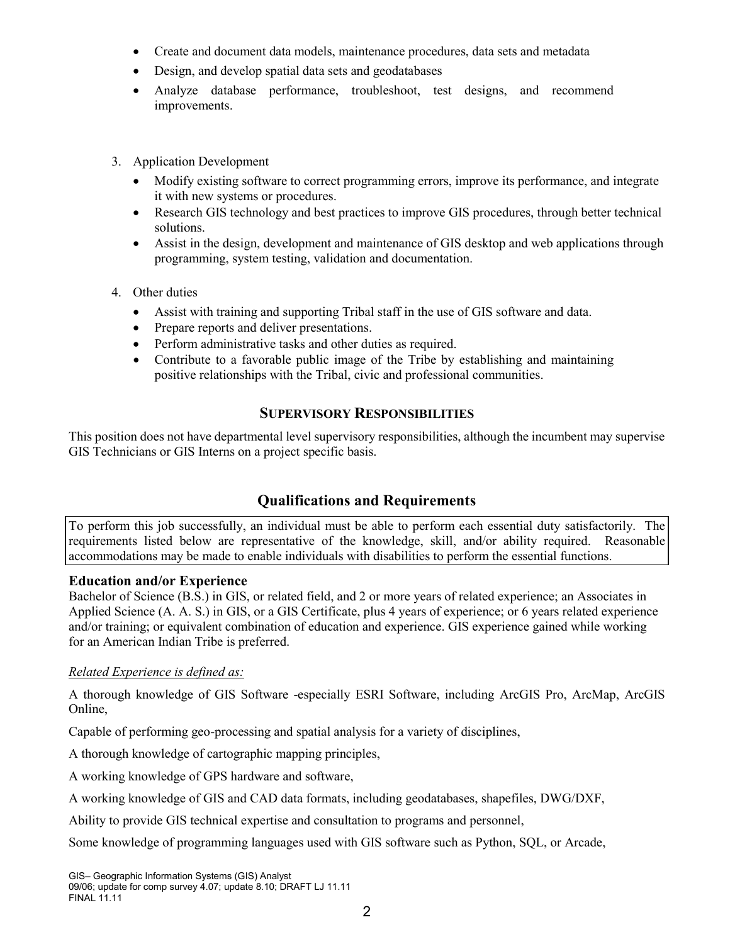- Create and document data models, maintenance procedures, data sets and metadata
- Design, and develop spatial data sets and geodatabases
- Analyze database performance, troubleshoot, test designs, and recommend improvements.
- 3. Application Development
	- Modify existing software to correct programming errors, improve its performance, and integrate it with new systems or procedures.
	- Research GIS technology and best practices to improve GIS procedures, through better technical solutions.
	- Assist in the design, development and maintenance of GIS desktop and web applications through programming, system testing, validation and documentation.
- 4. Other duties
	- Assist with training and supporting Tribal staff in the use of GIS software and data.
	- Prepare reports and deliver presentations.
	- Perform administrative tasks and other duties as required.
	- Contribute to a favorable public image of the Tribe by establishing and maintaining positive relationships with the Tribal, civic and professional communities.

## **SUPERVISORY RESPONSIBILITIES**

This position does not have departmental level supervisory responsibilities, although the incumbent may supervise GIS Technicians or GIS Interns on a project specific basis.

# **Qualifications and Requirements**

To perform this job successfully, an individual must be able to perform each essential duty satisfactorily. The requirements listed below are representative of the knowledge, skill, and/or ability required. Reasonable accommodations may be made to enable individuals with disabilities to perform the essential functions.

## **Education and/or Experience**

Bachelor of Science (B.S.) in GIS, or related field, and 2 or more years of related experience; an Associates in Applied Science (A. A. S.) in GIS, or a GIS Certificate, plus 4 years of experience; or 6 years related experience and/or training; or equivalent combination of education and experience. GIS experience gained while working for an American Indian Tribe is preferred.

#### *Related Experience is defined as:*

A thorough knowledge of GIS Software -especially ESRI Software, including ArcGIS Pro, ArcMap, ArcGIS Online,

Capable of performing geo-processing and spatial analysis for a variety of disciplines,

A thorough knowledge of cartographic mapping principles,

A working knowledge of GPS hardware and software,

A working knowledge of GIS and CAD data formats, including geodatabases, shapefiles, DWG/DXF,

Ability to provide GIS technical expertise and consultation to programs and personnel,

Some knowledge of programming languages used with GIS software such as Python, SQL, or Arcade,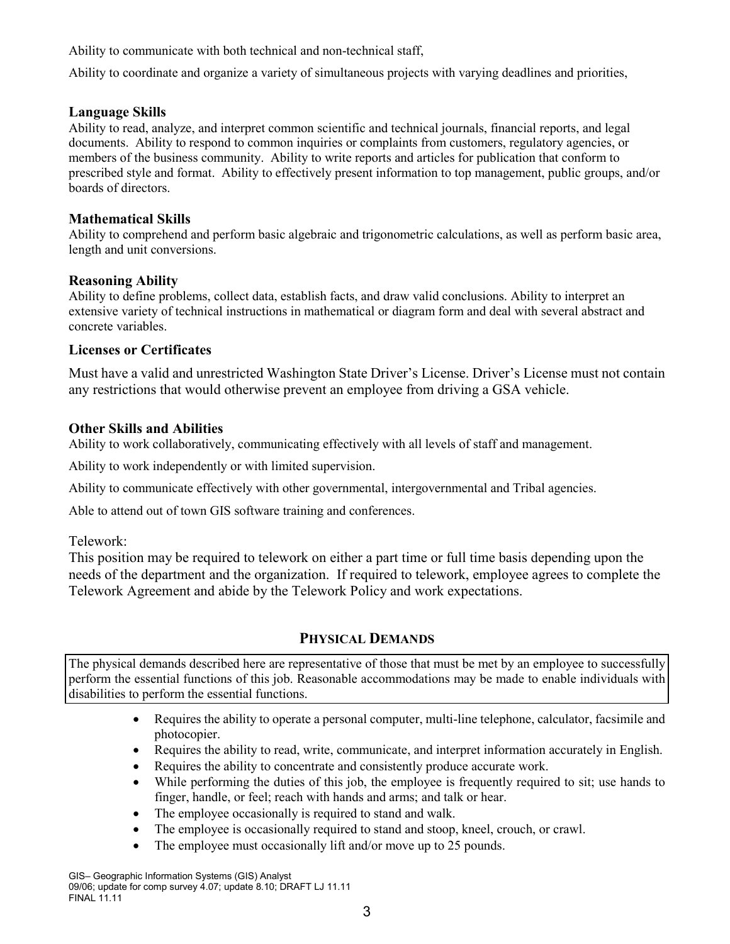Ability to communicate with both technical and non-technical staff,

Ability to coordinate and organize a variety of simultaneous projects with varying deadlines and priorities,

#### **Language Skills**

Ability to read, analyze, and interpret common scientific and technical journals, financial reports, and legal documents. Ability to respond to common inquiries or complaints from customers, regulatory agencies, or members of the business community. Ability to write reports and articles for publication that conform to prescribed style and format. Ability to effectively present information to top management, public groups, and/or boards of directors.

#### **Mathematical Skills**

Ability to comprehend and perform basic algebraic and trigonometric calculations, as well as perform basic area, length and unit conversions.

#### **Reasoning Ability**

Ability to define problems, collect data, establish facts, and draw valid conclusions. Ability to interpret an extensive variety of technical instructions in mathematical or diagram form and deal with several abstract and concrete variables.

#### **Licenses or Certificates**

Must have a valid and unrestricted Washington State Driver's License. Driver's License must not contain any restrictions that would otherwise prevent an employee from driving a GSA vehicle.

#### **Other Skills and Abilities**

Ability to work collaboratively, communicating effectively with all levels of staff and management.

Ability to work independently or with limited supervision.

Ability to communicate effectively with other governmental, intergovernmental and Tribal agencies.

Able to attend out of town GIS software training and conferences.

Telework:

This position may be required to telework on either a part time or full time basis depending upon the needs of the department and the organization. If required to telework, employee agrees to complete the Telework Agreement and abide by the Telework Policy and work expectations.

## **PHYSICAL DEMANDS**

The physical demands described here are representative of those that must be met by an employee to successfully perform the essential functions of this job. Reasonable accommodations may be made to enable individuals with disabilities to perform the essential functions.

- Requires the ability to operate a personal computer, multi-line telephone, calculator, facsimile and photocopier.
- Requires the ability to read, write, communicate, and interpret information accurately in English.
- Requires the ability to concentrate and consistently produce accurate work.
- While performing the duties of this job, the employee is frequently required to sit; use hands to finger, handle, or feel; reach with hands and arms; and talk or hear.
- The employee occasionally is required to stand and walk.
- The employee is occasionally required to stand and stoop, kneel, crouch, or crawl.
- The employee must occasionally lift and/or move up to 25 pounds.